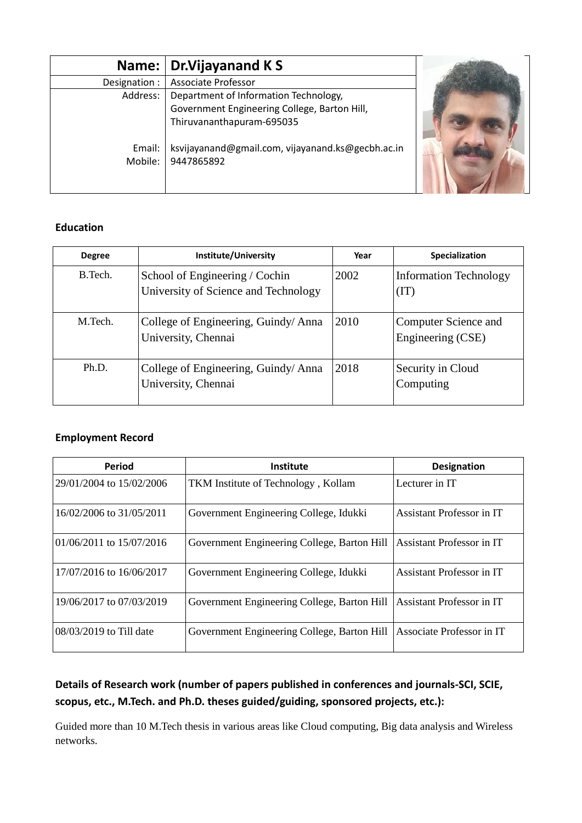|                   | Name:   Dr.Vijayanand K S                                       |  |
|-------------------|-----------------------------------------------------------------|--|
| Designation :     | <b>Associate Professor</b>                                      |  |
| Address:          | Department of Information Technology,                           |  |
|                   | Government Engineering College, Barton Hill,                    |  |
|                   | Thiruvananthapuram-695035                                       |  |
| Email:<br>Mobile: | ksvijayanand@gmail.com, vijayanand.ks@gecbh.ac.in<br>9447865892 |  |

# **Education**

| <b>Degree</b> | Institute/University                                                   | Year | Specialization                            |
|---------------|------------------------------------------------------------------------|------|-------------------------------------------|
| B. Tech.      | School of Engineering / Cochin<br>University of Science and Technology | 2002 | <b>Information Technology</b><br>(TT)     |
| M Tech.       | College of Engineering, Guindy/Anna<br>University, Chennai             | 2010 | Computer Science and<br>Engineering (CSE) |
| Ph.D.         | College of Engineering, Guindy/Anna<br>University, Chennai             | 2018 | Security in Cloud<br>Computing            |

# **Employment Record**

| <b>Period</b>             | <b>Institute</b>                            | <b>Designation</b>               |
|---------------------------|---------------------------------------------|----------------------------------|
| 29/01/2004 to 15/02/2006  | TKM Institute of Technology, Kollam         | Lecturer in IT                   |
| 16/02/2006 to 31/05/2011  | Government Engineering College, Idukki      | Assistant Professor in IT        |
| 01/06/2011 to 15/07/2016  | Government Engineering College, Barton Hill | <b>Assistant Professor in IT</b> |
| 17/07/2016 to 16/06/2017  | Government Engineering College, Idukki      | Assistant Professor in IT        |
| 19/06/2017 to 07/03/2019  | Government Engineering College, Barton Hill | Assistant Professor in IT        |
| $08/03/2019$ to Till date | Government Engineering College, Barton Hill | Associate Professor in IT        |

# **Details of Research work (number of papers published in conferences and journals-SCI, SCIE, scopus, etc., M.Tech. and Ph.D. theses guided/guiding, sponsored projects, etc.):**

Guided more than 10 M.Tech thesis in various areas like Cloud computing, Big data analysis and Wireless networks.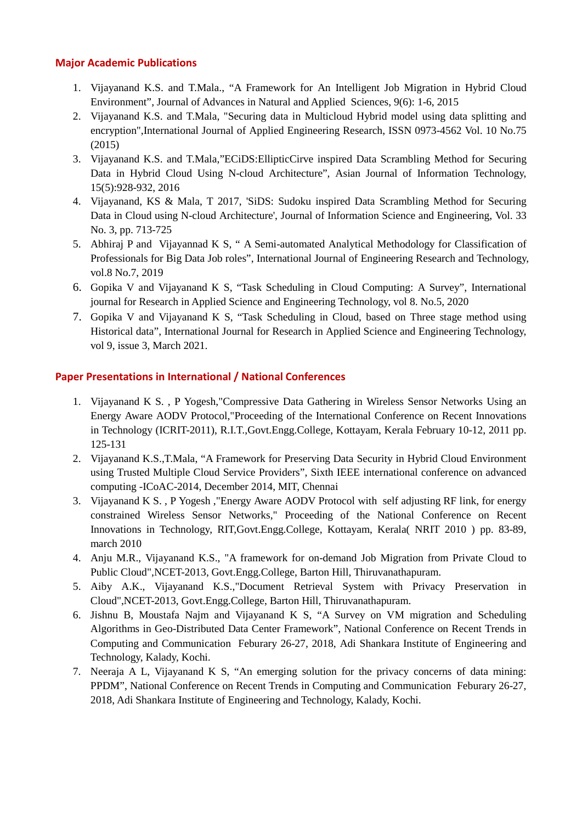#### **Major Academic Publications**

- 1. Vijayanand K.S. and T.Mala., "A Framework for An Intelligent Job Migration in Hybrid Cloud Environment", Journal of Advances in Natural and Applied Sciences, 9(6): 1-6, 2015
- 2. Vijayanand K.S. and T.Mala, "Securing data in Multicloud Hybrid model using data splitting and encryption",International Journal of Applied Engineering Research, ISSN 0973-4562 Vol. 10 No.75 (2015)
- 3. Vijayanand K.S. and T.Mala,"ECiDS:EllipticCirve inspired Data Scrambling Method for Securing Data in Hybrid Cloud Using N-cloud Architecture", Asian Journal of Information Technology, 15(5):928-932, 2016
- 4. Vijayanand, KS & Mala, T 2017, 'SiDS: Sudoku inspired Data Scrambling Method for Securing Data in Cloud using N-cloud Architecture', Journal of Information Science and Engineering, Vol. 33 No. 3, pp. 713-725
- 5. Abhiraj P and Vijayannad K S, " A Semi-automated Analytical Methodology for Classification of Professionals for Big Data Job roles", International Journal of Engineering Research and Technology, vol.8 No.7, 2019
- 6. Gopika V and Vijayanand K S, "Task Scheduling in Cloud Computing: A Survey", International journal for Research in Applied Science and Engineering Technology, vol 8. No.5, 2020
- 7. Gopika V and Vijayanand K S, "Task Scheduling in Cloud, based on Three stage method using Historical data", International Journal for Research in Applied Science and Engineering Technology, vol 9, issue 3, March 2021.

#### **Paper Presentations in International / National Conferences**

- 1. Vijayanand K S. , P Yogesh,"Compressive Data Gathering in Wireless Sensor Networks Using an Energy Aware AODV Protocol,"Proceeding of the International Conference on Recent Innovations in Technology (ICRIT-2011), R.I.T.,Govt.Engg.College, Kottayam, Kerala February 10-12, 2011 pp. 125-131
- 2. Vijayanand K.S.,T.Mala, "A Framework for Preserving Data Security in Hybrid Cloud Environment using Trusted Multiple Cloud Service Providers", Sixth IEEE international conference on advanced computing -ICoAC-2014, December 2014, MIT, Chennai
- 3. Vijayanand K S. , P Yogesh ,"Energy Aware AODV Protocol with self adjusting RF link, for energy constrained Wireless Sensor Networks," Proceeding of the National Conference on Recent Innovations in Technology, RIT,Govt.Engg.College, Kottayam, Kerala( NRIT 2010 ) pp. 83-89, march 2010
- 4. Anju M.R., Vijayanand K.S., "A framework for on-demand Job Migration from Private Cloud to Public Cloud",NCET-2013, Govt.Engg.College, Barton Hill, Thiruvanathapuram.
- 5. Aiby A.K., Vijayanand K.S.,"Document Retrieval System with Privacy Preservation in Cloud",NCET-2013, Govt.Engg.College, Barton Hill, Thiruvanathapuram.
- 6. Jishnu B, Moustafa Najm and Vijayanand K S, "A Survey on VM migration and Scheduling Algorithms in Geo-Distributed Data Center Framework", National Conference on Recent Trends in Computing and Communication Feburary 26-27, 2018, Adi Shankara Institute of Engineering and Technology, Kalady, Kochi.
- 7. Neeraja A L, Vijayanand K S, "An emerging solution for the privacy concerns of data mining: PPDM", National Conference on Recent Trends in Computing and Communication Feburary 26-27, 2018, Adi Shankara Institute of Engineering and Technology, Kalady, Kochi.